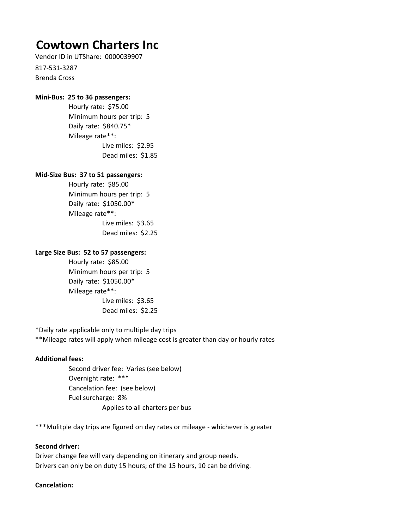# **Cowtown Charters Inc**

Vendor ID in UTShare: 0000039907

817-531-3287 Brenda Cross

### **Mini-Bus: 25 to 36 passengers:**

Live miles: \$2.95 Dead miles: \$1.85 Hourly rate: \$75.00 Minimum hours per trip: 5 Daily rate: \$840.75\* Mileage rate\*\*:

## **Mid-Size Bus: 37 to 51 passengers:**

Hourly rate: \$85.00 Minimum hours per trip: 5 Daily rate: \$1050.00\* Mileage rate\*\*: Live miles: \$3.65 Dead miles: \$2.25

#### **Large Size Bus: 52 to 57 passengers:**

Daily rate: \$1050.00\* Mileage rate\*\*: Live miles: \$3.65 Dead miles: \$2.25 Hourly rate: \$85.00 Minimum hours per trip: 5

\*Daily rate applicable only to multiple day trips

\*\*Mileage rates will apply when mileage cost is greater than day or hourly rates

## **Additional fees:**

Cancelation fee: (see below) Second driver fee: Varies (see below) Fuel surcharge: 8% Overnight rate: \*\*\* Applies to all charters per bus

\*\*\*Mulitple day trips are figured on day rates or mileage - whichever is greater

## **Second driver:**

Driver change fee will vary depending on itinerary and group needs. Drivers can only be on duty 15 hours; of the 15 hours, 10 can be driving.

## **Cancelation:**